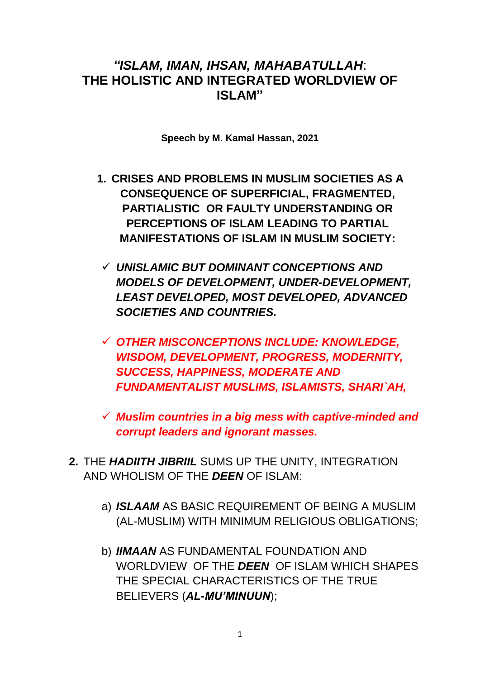#### *"ISLAM, IMAN, IHSAN, MAHABATULLAH*: **THE HOLISTIC AND INTEGRATED WORLDVIEW OF ISLAM"**

**Speech by M. Kamal Hassan, 2021**

- **1. CRISES AND PROBLEMS IN MUSLIM SOCIETIES AS A CONSEQUENCE OF SUPERFICIAL, FRAGMENTED, PARTIALISTIC OR FAULTY UNDERSTANDING OR PERCEPTIONS OF ISLAM LEADING TO PARTIAL MANIFESTATIONS OF ISLAM IN MUSLIM SOCIETY:**
- *UNISLAMIC BUT DOMINANT CONCEPTIONS AND MODELS OF DEVELOPMENT, UNDER-DEVELOPMENT, LEAST DEVELOPED, MOST DEVELOPED, ADVANCED SOCIETIES AND COUNTRIES.*
- *OTHER MISCONCEPTIONS INCLUDE: KNOWLEDGE, WISDOM, DEVELOPMENT, PROGRESS, MODERNITY, SUCCESS, HAPPINESS, MODERATE AND FUNDAMENTALIST MUSLIMS, ISLAMISTS, SHARI`AH,*
- *Muslim countries in a big mess with captive-minded and corrupt leaders and ignorant masses.*
- **2.** THE *HADIITH JIBRIIL* SUMS UP THE UNITY, INTEGRATION AND WHOLISM OF THE *DEEN* OF ISLAM:
	- a) *ISLAAM* AS BASIC REQUIREMENT OF BEING A MUSLIM (AL-MUSLIM) WITH MINIMUM RELIGIOUS OBLIGATIONS;
	- b) *IIMAAN* AS FUNDAMENTAL FOUNDATION AND WORLDVIEW OF THE *DEEN* OF ISLAM WHICH SHAPES THE SPECIAL CHARACTERISTICS OF THE TRUE BELIEVERS (*AL-MU'MINUUN*);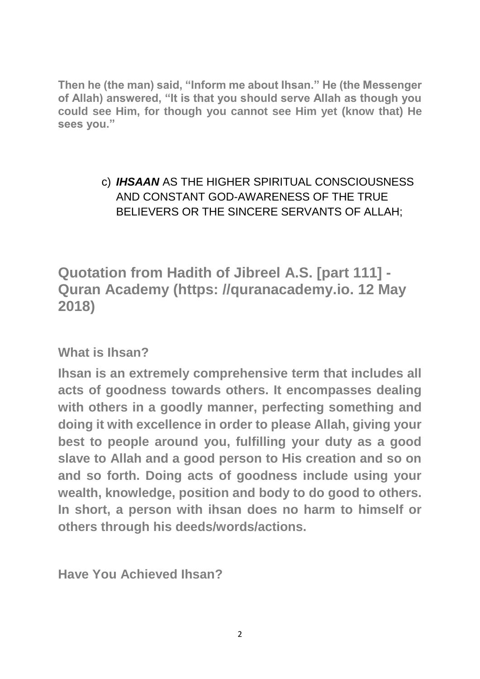**Then he (the man) said, "Inform me about Ihsan." He (the Messenger of Allah) answered, "It is that you should serve Allah as though you could see Him, for though you cannot see Him yet (know that) He sees you."**

#### c) *IHSAAN* AS THE HIGHER SPIRITUAL CONSCIOUSNESS AND CONSTANT GOD-AWARENESS OF THE TRUE BELIEVERS OR THE SINCERE SERVANTS OF ALLAH;

**Quotation from Hadith of Jibreel A.S. [part 111] - Quran Academy (https: //quranacademy.io. 12 May 2018)** 

**What is Ihsan?**

**Ihsan is an extremely comprehensive term that includes all acts of goodness towards others. It encompasses dealing with others in a goodly manner, perfecting something and doing it with excellence in order to please Allah, giving your best to people around you, fulfilling your duty as a good slave to Allah and a good person to His creation and so on and so forth. Doing acts of goodness include using your wealth, knowledge, position and body to do good to others. In short, a person with ihsan does no harm to himself or others through his deeds/words/actions.**

**Have You Achieved Ihsan?**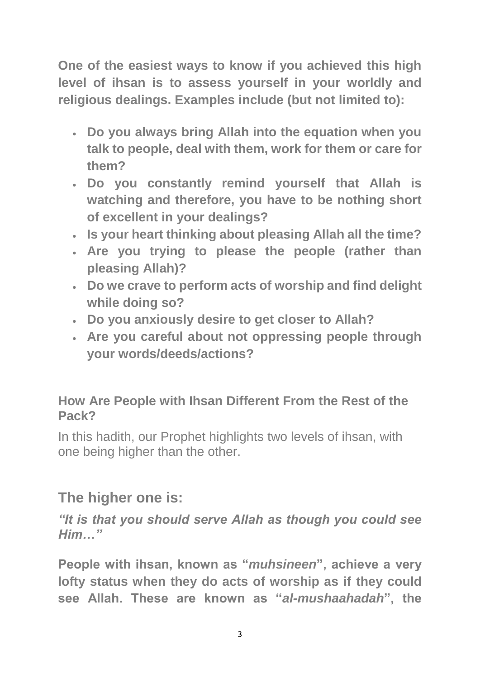**One of the easiest ways to know if you achieved this high level of ihsan is to assess yourself in your worldly and religious dealings. Examples include (but not limited to):**

- **Do you always bring Allah into the equation when you talk to people, deal with them, work for them or care for them?**
- **Do you constantly remind yourself that Allah is watching and therefore, you have to be nothing short of excellent in your dealings?**
- **Is your heart thinking about pleasing Allah all the time?**
- **Are you trying to please the people (rather than pleasing Allah)?**
- **Do we crave to perform acts of worship and find delight while doing so?**
- **Do you anxiously desire to get closer to Allah?**
- **Are you careful about not oppressing people through your words/deeds/actions?**

### **How Are People with Ihsan Different From the Rest of the Pack?**

In this hadith, our Prophet highlights two levels of ihsan, with one being higher than the other.

## **The higher one is:**

*"It is that you should serve Allah as though you could see Him…"*

**People with ihsan, known as "***muhsineen***", achieve a very lofty status when they do acts of worship as if they could see Allah. These are known as "***al-mushaahadah***", the**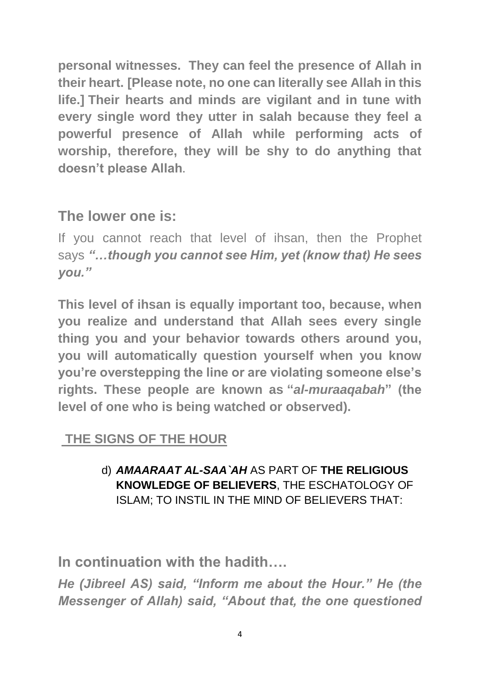**personal witnesses. They can feel the presence of Allah in their heart. [Please note, no one can literally see Allah in this life.] Their hearts and minds are vigilant and in tune with every single word they utter in salah because they feel a powerful presence of Allah while performing acts of worship, therefore, they will be shy to do anything that doesn't please Allah.**

# **The lower one is:**

If you cannot reach that level of ihsan, then the Prophet says *"…though you cannot see Him, yet (know that) He sees you."*

**This level of ihsan is equally important too, because, when you realize and understand that Allah sees every single thing you and your behavior towards others around you, you will automatically question yourself when you know you're overstepping the line or are violating someone else's rights. These people are known as "***al-muraaqabah***" (the level of one who is being watched or observed).**

## **THE SIGNS OF THE HOUR**

d) *AMAARAAT AL-SAA`AH* AS PART OF **THE RELIGIOUS KNOWLEDGE OF BELIEVERS**, THE ESCHATOLOGY OF ISLAM; TO INSTIL IN THE MIND OF BELIEVERS THAT:

**In continuation with the hadith….**

*He (Jibreel AS) said, "Inform me about the Hour." He (the Messenger of Allah) said, "About that, the one questioned*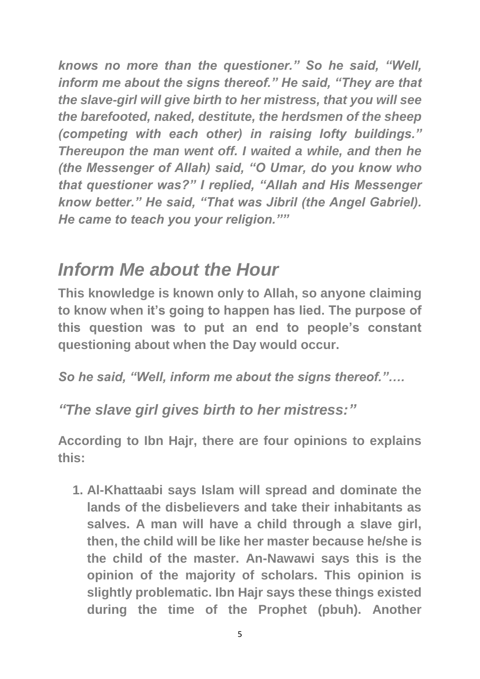*knows no more than the questioner." So he said, "Well, inform me about the signs thereof." He said, "They are that the slave-girl will give birth to her mistress, that you will see the barefooted, naked, destitute, the herdsmen of the sheep (competing with each other) in raising lofty buildings." Thereupon the man went off. I waited a while, and then he (the Messenger of Allah) said, "O Umar, do you know who that questioner was?" I replied, "Allah and His Messenger know better." He said, "That was Jibril (the Angel Gabriel). He came to teach you your religion.""*

# *Inform Me about the Hour*

**This knowledge is known only to Allah, so anyone claiming to know when it's going to happen has lied. The purpose of this question was to put an end to people's constant questioning about when the Day would occur.**

*So he said, "Well, inform me about the signs thereof."….*

*"The slave girl gives birth to her mistress:"*

**According to Ibn Hajr, there are four opinions to explains this:**

**1. Al-Khattaabi says Islam will spread and dominate the lands of the disbelievers and take their inhabitants as salves. A man will have a child through a slave girl, then, the child will be like her master because he/she is the child of the master. An-Nawawi says this is the opinion of the majority of scholars. This opinion is slightly problematic. Ibn Hajr says these things existed during the time of the Prophet (pbuh). Another**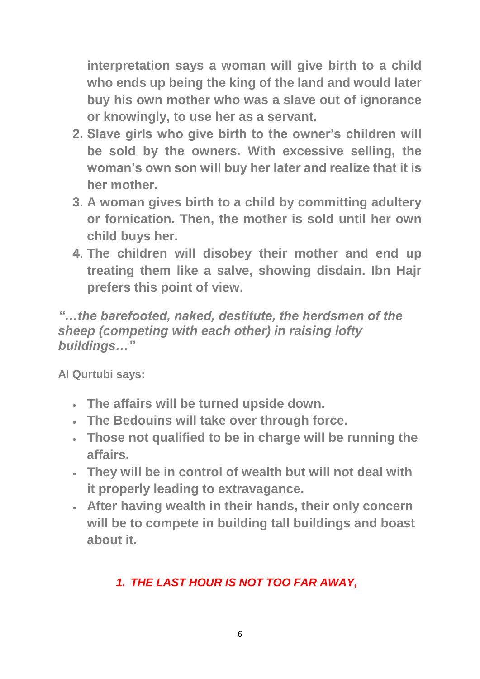**interpretation says a woman will give birth to a child who ends up being the king of the land and would later buy his own mother who was a slave out of ignorance or knowingly, to use her as a servant.**

- **2. Slave girls who give birth to the owner's children will be sold by the owners. With excessive selling, the woman's own son will buy her later and realize that it is her mother.**
- **3. A woman gives birth to a child by committing adultery or fornication. Then, the mother is sold until her own child buys her.**
- **4. The children will disobey their mother and end up treating them like a salve, showing disdain. Ibn Hajr prefers this point of view.**

*"…the barefooted, naked, destitute, the herdsmen of the sheep (competing with each other) in raising lofty buildings…"*

**Al Qurtubi says:**

- **The affairs will be turned upside down.**
- **The Bedouins will take over through force.**
- **Those not qualified to be in charge will be running the affairs.**
- **They will be in control of wealth but will not deal with it properly leading to extravagance.**
- **After having wealth in their hands, their only concern will be to compete in building tall buildings and boast about it.**

## *1. THE LAST HOUR IS NOT TOO FAR AWAY,*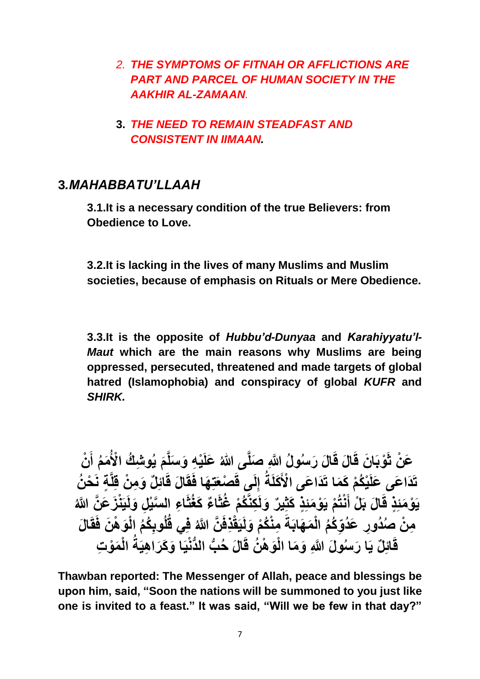- *2. THE SYMPTOMS OF FITNAH OR AFFLICTIONS ARE PART AND PARCEL OF HUMAN SOCIETY IN THE AAKHIR AL-ZAMAAN.*
- **3.** *THE NEED TO REMAIN STEADFAST AND CONSISTENT IN IIMAAN.*

#### **3***.MAHABBATU'LLAAH*

**3.1.It is a necessary condition of the true Believers: from Obedience to Love.**

**3.2.It is lacking in the lives of many Muslims and Muslim societies, because of emphasis on Rituals or Mere Obedience.**

**3.3.It is the opposite of** *Hubbu'd-Dunyaa* **and** *Karahiyyatu'l-Maut* **which are the main reasons why Muslims are being oppressed, persecuted, threatened and made targets of global hatred (Islamophobia) and conspiracy of global** *KUFR* **and**  *SHIRK.*

عَنْ ثَوْبَانَ قَالَ قَالَ رَسُولُ النَّهِ صَلَّى اللهُ عَلَيْهِ وَسَلَّمَ يُوشِكُ الْأُمَمُ أَنْ **َ**  تَذَاعَى عَلَيْكُمْ كَمَا تَذَاعَى الْأَكَلَةُ إِلَى قَصْعَتِهَا فَقَالَ قَائِلٌ وَمِنْ قِلَّةٍ نَحْنُ  يَوْمَئِذٍ قَالَ بَلْ أَنْتُمْ يَوْمَئِذٍ كَثِيرٌ وَلَكِنَّكُمْ غُثَّاعٌ كَغُثَّاعِ السَّيْلِ وَلَيَنْزَ عَنَّ اللَّهُ **ه ه** مِنْ صِنُدُورِ عَدُوِّكُمُ الْمَهَابَةَ مِنْكُمْ وَلَيَقْذِفَنَّ اللَّهُ فِي قُلُوبِكُمُ الْوَهْنَ فَقَالَ **ِ ه**  قَائِلٌ يَا رَسُولَ اللَّهِ وَمَا الْوَهْنُ قَالَ حُبُّ الدُّنْيَا وَكَرَاهِيَةُ الْمَوْتِ  **ُّ** 

**Thawban reported: The Messenger of Allah, peace and blessings be upon him, said, "Soon the nations will be summoned to you just like one is invited to a feast." It was said, "Will we be few in that day?"**